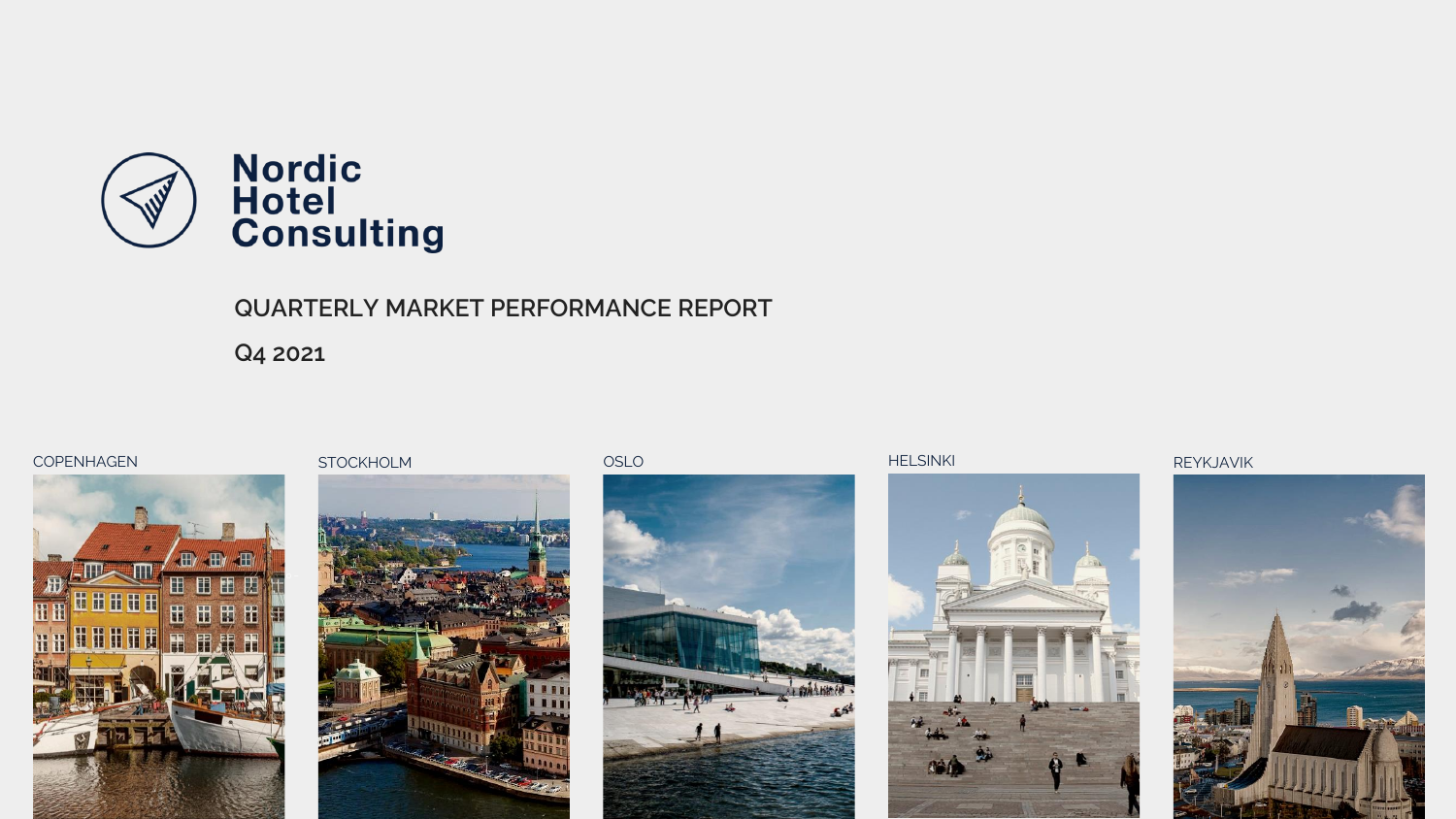

# **QUARTERLY MARKET PERFORMANCE REPORT**

**Q4 2021**









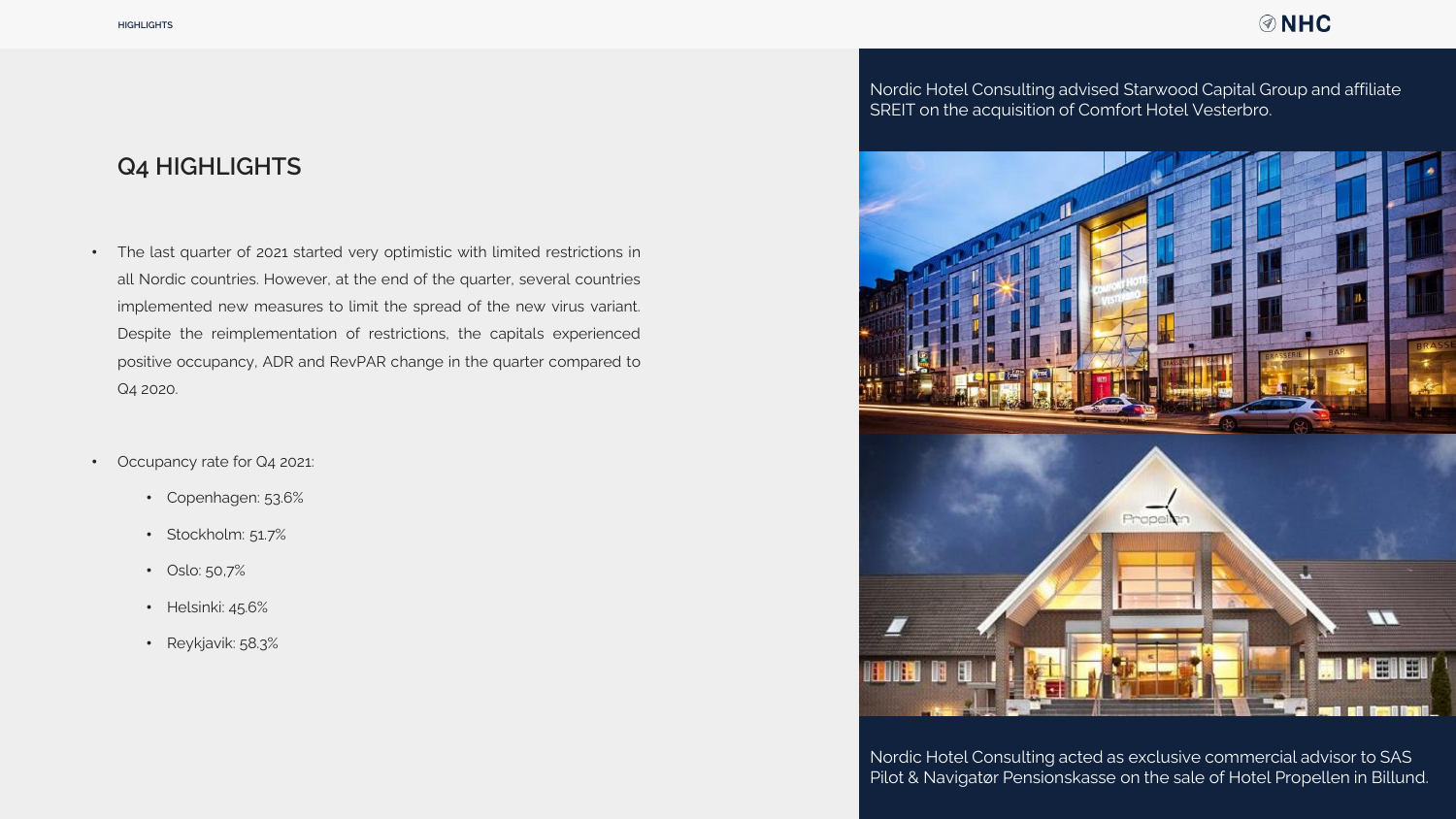## **ØNHC**

# **Q4 HIGHLIGHTS**

- The last quarter of 2021 started very optimistic with limited restrictions in all Nordic countries. However, at the end of the quarter, several countries implemented new measures to limit the spread of the new virus variant. Despite the reimplementation of restrictions, the capitals experienced positive occupancy, ADR and RevPAR change in the quarter compared to Q4 2020.
- Occupancy rate for Q4 2021:
	- Copenhagen: 53.6%
	- Stockholm: 51.7%
	- Oslo: 50,7%
	- Helsinki: 45.6%
	- Reykjavik: 58.3%

Nordic Hotel Consulting advised Starwood Capital Group and affiliate SREIT on the acquisition of Comfort Hotel Vesterbro.



Nordic Hotel Consulting acted as exclusive commercial advisor to SAS Pilot & Navigatør Pensionskasse on the sale of Hotel Propellen in Billund.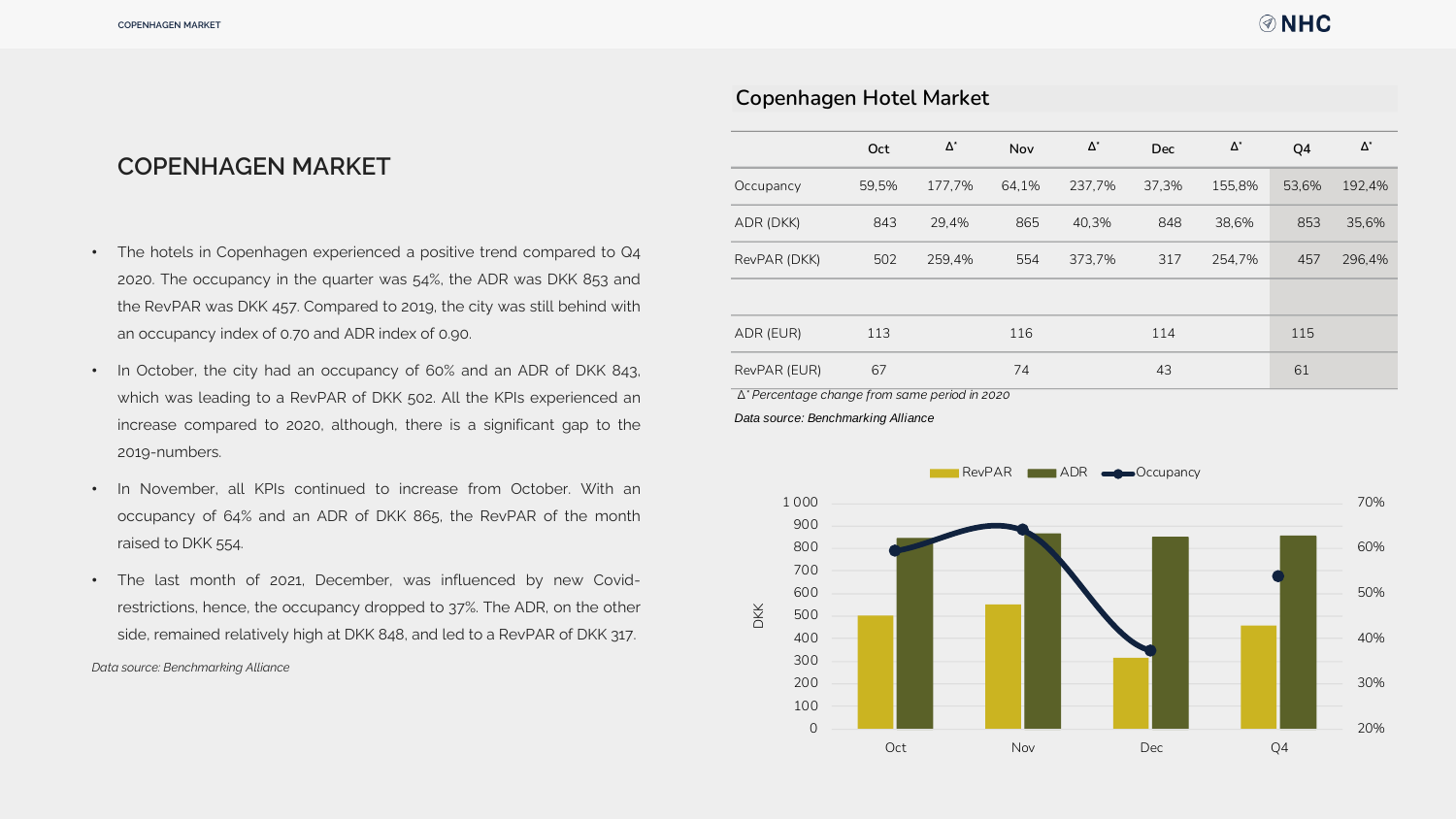# **COPENHAGEN MARKET**

- The hotels in Copenhagen experienced a positive trend compared to Q4 2020. The occupancy in the quarter was 54%, the ADR was DKK 853 and the RevPAR was DKK 457. Compared to 2019, the city was still behind with an occupancy index of 0.70 and ADR index of 0.90.
- In October, the city had an occupancy of 60% and an ADR of DKK 843, which was leading to a RevPAR of DKK 502. All the KPIs experienced an increase compared to 2020, although, there is a significant gap to the 2019-numbers.
- In November, all KPIs continued to increase from October. With an occupancy of 64% and an ADR of DKK 865, the RevPAR of the month raised to DKK 554.
- The last month of 2021, December, was influenced by new Covidrestrictions, hence, the occupancy dropped to 37%. The ADR, on the other side, remained relatively high at DKK 848, and led to a RevPAR of DKK 317.

*Data source: Benchmarking Alliance*

|                                                       | Oct   | $\Delta^*$ | Nov   | $\Delta^\star$ | <b>Dec</b> | $\Delta^*$ | Q4    | $\Delta^*$ |
|-------------------------------------------------------|-------|------------|-------|----------------|------------|------------|-------|------------|
| Occupancy                                             | 59,5% | 177,7%     | 64,1% | 237,7%         | 37,3%      | 155,8%     | 53,6% | 192,4%     |
| ADR (DKK)                                             | 843   | 29,4%      | 865   | 40,3%          | 848        | 38,6%      | 853   | 35,6%      |
| RevPAR (DKK)                                          | 502   | 259,4%     | 554   | 373,7%         | 317        | 254,7%     | 457   | 296,4%     |
|                                                       |       |            |       |                |            |            |       |            |
| ADR (EUR)                                             | 113   |            | 116   |                | 114        |            | 115   |            |
| RevPAR (EUR)                                          | 67    |            | 74    |                | 43         |            | 61    |            |
| $\Delta^*$ Percentage change from same period in 2020 |       |            |       |                |            |            |       |            |
| Data source: Benchmarking Alliance                    |       |            |       |                |            |            |       |            |

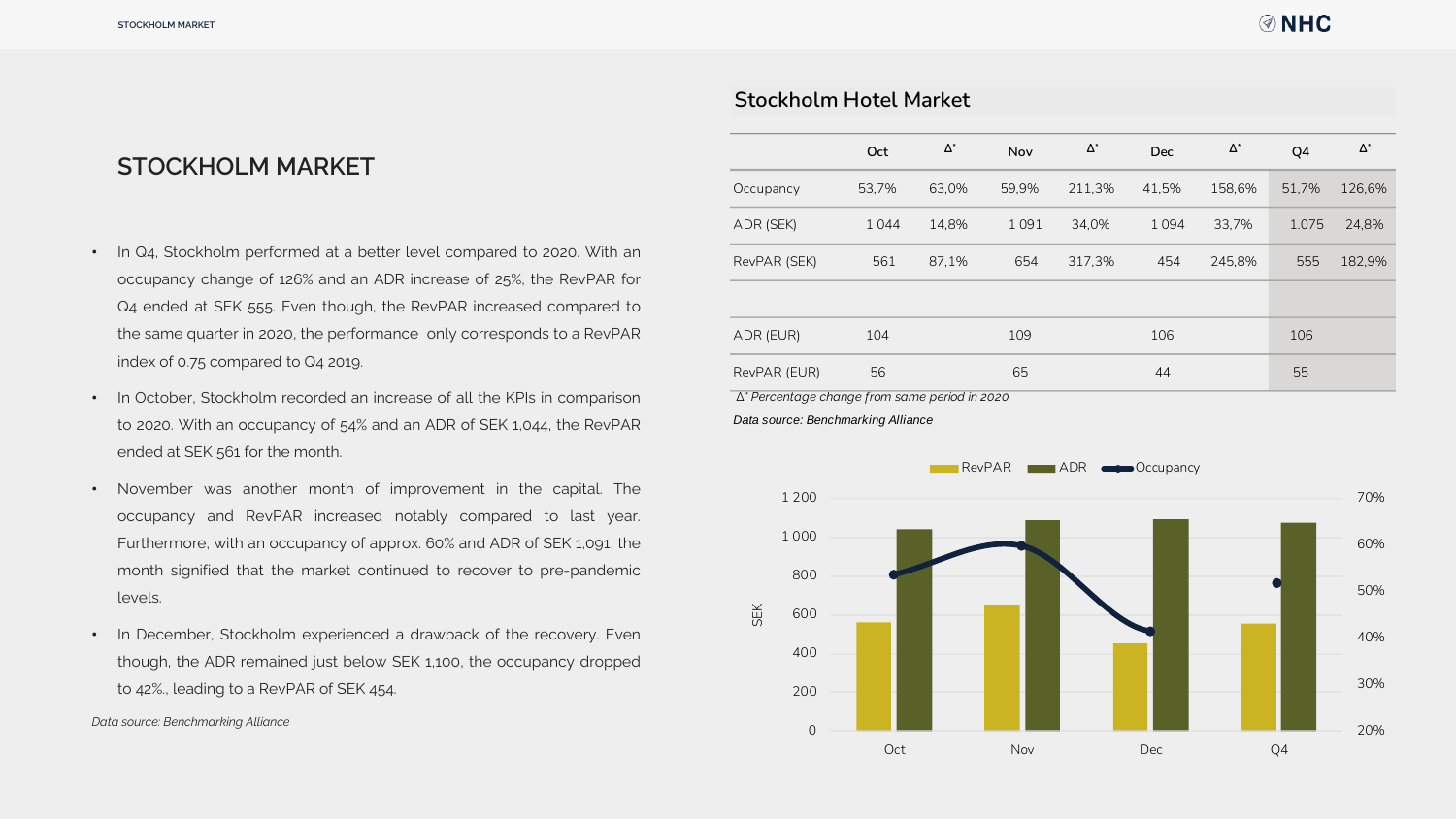## **Stockholm Hotel Market**

# **STOCKHOLM MARKET**

- In Q4, Stockholm performed at a better level compared to 2020. With an occupancy change of 126% and an ADR increase of 25%, the RevPAR for Q4 ended at SEK 555. Even though, the RevPAR increased compared to the same quarter in 2020, the performance only corresponds to a RevPAR index of 0.75 compared to Q4 2019.
- In October, Stockholm recorded an increase of all the KPIs in comparison to 2020. With an occupancy of 54% and an ADR of SEK 1,044, the RevPAR ended at SEK 561 for the month.
- November was another month of improvement in the capital. The occupancy and RevPAR increased notably compared to last year. Furthermore, with an occupancy of approx. 60% and ADR of SEK 1,091, the month signified that the market continued to recover to pre-pandemic levels.
- In December, Stockholm experienced a drawback of the recovery. Even though, the ADR remained just below SEK 1,100, the occupancy dropped to 42%., leading to a RevPAR of SEK 454.

*Data source: Benchmarking Alliance*

|              | Oct   | $\Delta^*$ | <b>Nov</b> | $\Delta^*$ | <b>Dec</b> | $\Delta^*$ | Q4    | $\Delta^*$ |
|--------------|-------|------------|------------|------------|------------|------------|-------|------------|
| Occupancy    | 53.7% | 63,0%      | 59.9%      | 211,3%     | 41,5%      | 158.6%     | 51.7% | 126,6%     |
| ADR (SEK)    | 1044  | 14.8%      | 1091       | 34,0%      | 1094       | 33,7%      | 1.075 | 24.8%      |
| RevPAR (SEK) | 561   | 87.1%      | 654        | 317.3%     | 454        | 245.8%     | 555   | 182,9%     |
|              |       |            |            |            |            |            |       |            |
| ADR (EUR)    | 104   |            | 109        |            | 106        |            | 106   |            |
| RevPAR (EUR) | 56    |            | 65         |            | 44         |            | 55    |            |

 *∆\* Percentage change from same period in 2020*

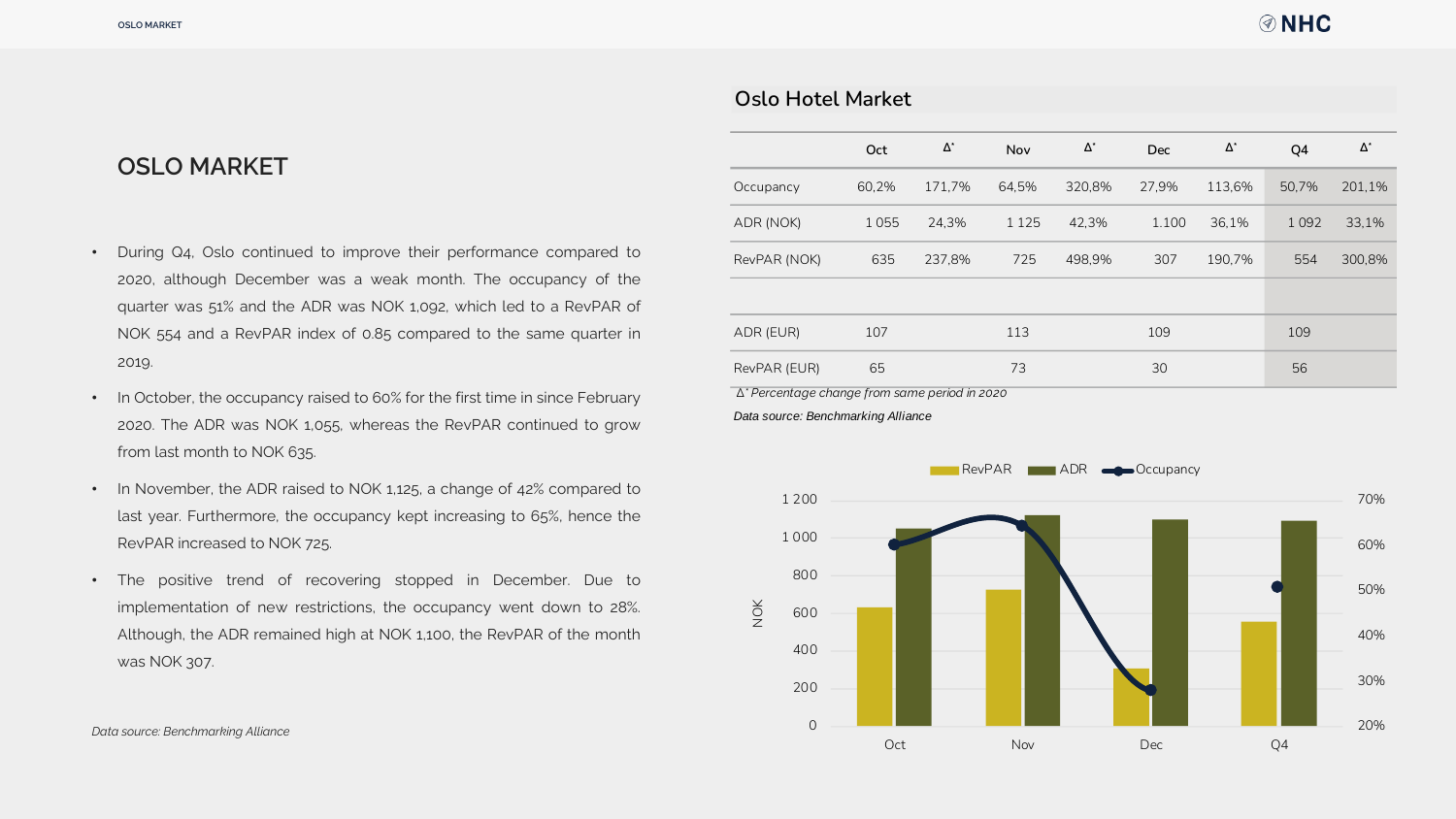# **OSLO MARKET**

- During Q4, Oslo continued to improve their performance compared to 2020, although December was a weak month. The occupancy of the quarter was 51% and the ADR was NOK 1,092, which led to a RevPAR of NOK 554 and a RevPAR index of 0.85 compared to the same quarter in 2019.
- In October, the occupancy raised to 60% for the first time in since February 2020. The ADR was NOK 1,055, whereas the RevPAR continued to grow from last month to NOK 635.
- In November, the ADR raised to NOK 1,125, a change of 42% compared to last year. Furthermore, the occupancy kept increasing to 65%, hence the RevPAR increased to NOK 725.
- The positive trend of recovering stopped in December. Due to implementation of new restrictions, the occupancy went down to 28%. Although, the ADR remained high at NOK 1,100, the RevPAR of the month was NOK 307.

| <b>Oslo Hotel Market</b>                      |       |            |         |            |            |            |         |            |
|-----------------------------------------------|-------|------------|---------|------------|------------|------------|---------|------------|
|                                               |       |            |         |            |            |            |         |            |
|                                               | Oct   | $\Delta^*$ | Nov     | $\Delta^*$ | <b>Dec</b> | $\Delta^*$ | Q4      | $\Delta^*$ |
| Occupancy                                     | 60,2% | 171,7%     | 64,5%   | 320,8%     | 27,9%      | 113,6%     | 50,7%   | 201,1%     |
| ADR (NOK)                                     | 1055  | 24,3%      | 1 1 2 5 | 42,3%      | 1.100      | 36,1%      | 1 0 9 2 | 33,1%      |
| RevPAR (NOK)                                  | 635   | 237,8%     | 725     | 498,9%     | 307        | 190,7%     | 554     | 300,8%     |
|                                               |       |            |         |            |            |            |         |            |
| ADR (EUR)                                     | 107   |            | 113     |            | 109        |            | 109     |            |
| RevPAR (EUR)                                  | 65    |            | 73      |            | 30         |            | 56      |            |
| ∆* Percentage change from same period in 2020 |       |            |         |            |            |            |         |            |
| Data source: Benchmarking Alliance            |       |            |         |            |            |            |         |            |
|                                               |       |            |         |            |            |            |         |            |
|                                               |       |            | RevPAR  | <b>ADR</b> | •Occupancy |            |         |            |
|                                               |       |            |         |            |            |            |         |            |

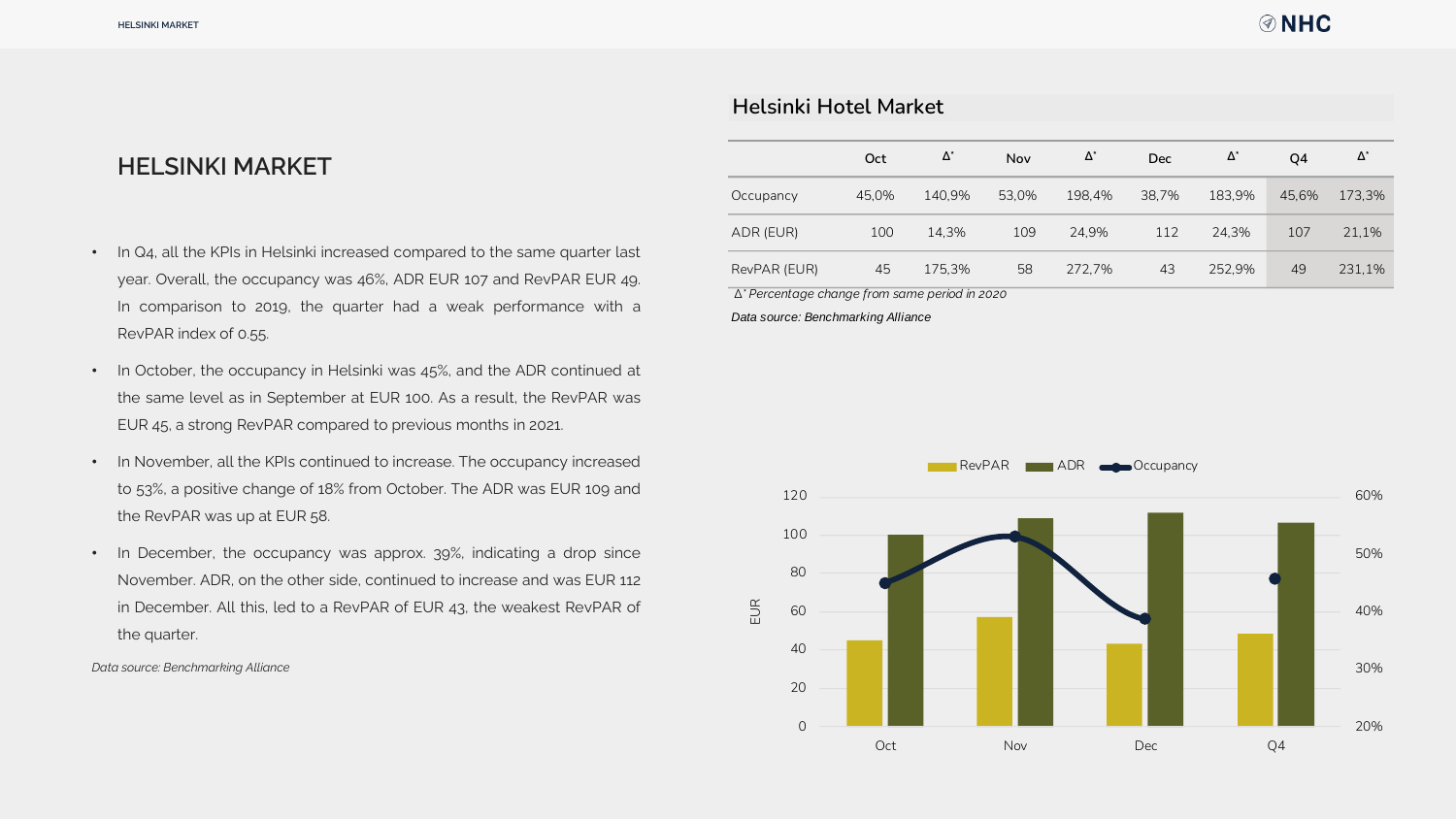## **Helsinki Hotel Market**

# **HELSINKI MARKET**

- In Q4, all the KPIs in Helsinki increased compared to the same quarter last year. Overall, the occupancy was 46%, ADR EUR 107 and RevPAR EUR 49. In comparison to 2019, the quarter had a weak performance with a RevPAR index of 0.55.
- In October, the occupancy in Helsinki was 45%, and the ADR continued at the same level as in September at EUR 100. As a result, the RevPAR was EUR 45, a strong RevPAR compared to previous months in 2021.
- In November, all the KPIs continued to increase. The occupancy increased to 53%, a positive change of 18% from October. The ADR was EUR 109 and the RevPAR was up at EUR 58.
- In December, the occupancy was approx. 39%, indicating a drop since November. ADR, on the other side, continued to increase and was EUR 112 in December. All this, led to a RevPAR of EUR 43, the weakest RevPAR of the quarter.

*Data source: Benchmarking Alliance*

|              | Oct   | Δ*     | Nov   | $\Delta^*$ | <b>Dec</b> | $\Delta^*$ | O <sub>4</sub> | $\Delta^*$ |
|--------------|-------|--------|-------|------------|------------|------------|----------------|------------|
| Occupancy    | 45.0% | 140.9% | 53.0% | 198.4%     | 38.7%      | 183.9%     | 45.6%          | 173,3%     |
| ADR (EUR)    | 100   | 14.3%  | 109   | 24.9%      | 112        | 24.3%      | 107            | 21,1%      |
| RevPAR (EUR) | 45    | 175.3% | 58    | 272.7%     | 43         | 252.9%     | 49             | 231.1%     |

 *∆\* Percentage change from same period in 2020*

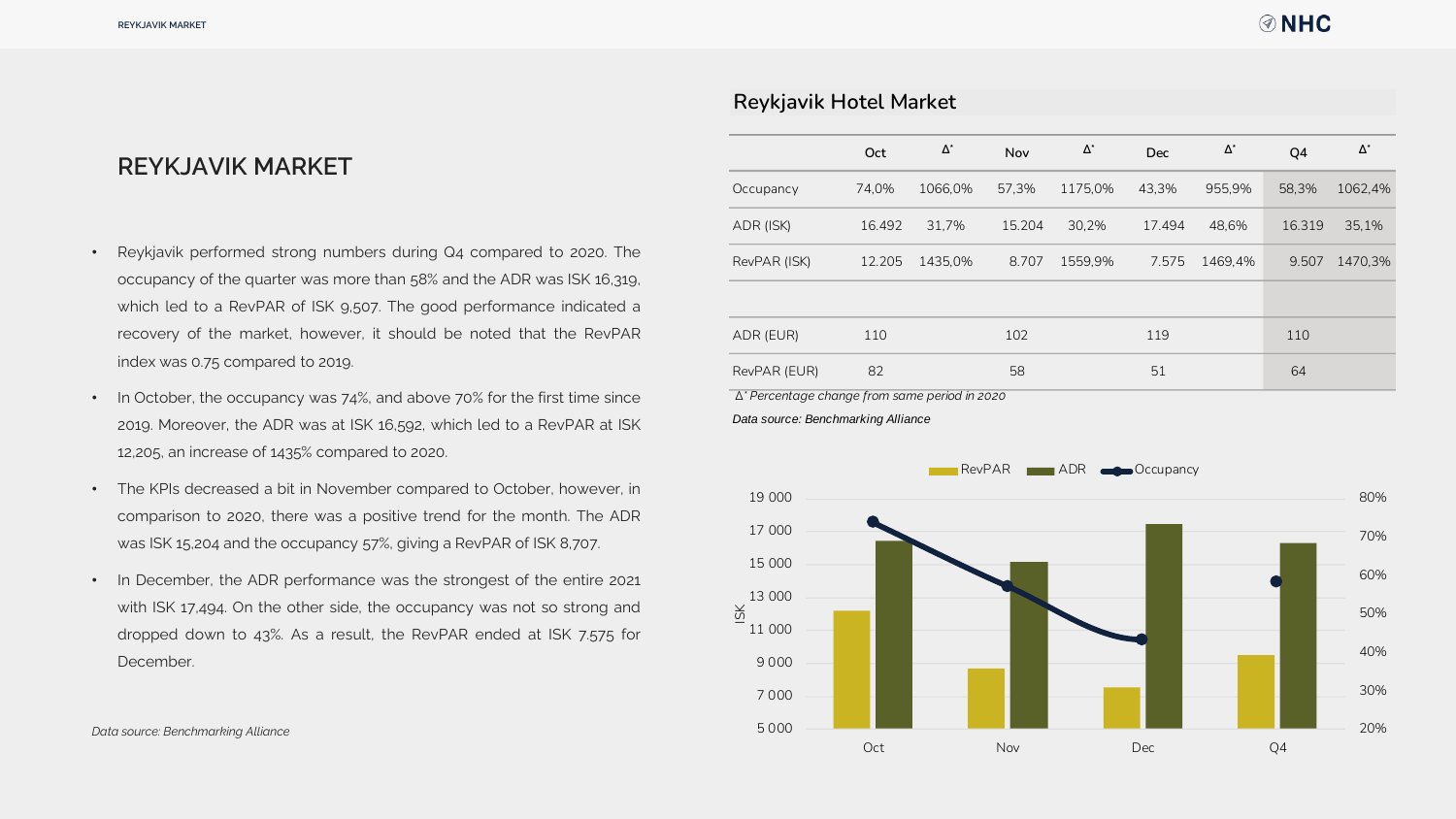# **REYKJAVIK MARKET**

- Reykjavik performed strong numbers during Q4 compared to 2020. The occupancy of the quarter was more than 58% and the ADR was ISK 16,319, which led to a RevPAR of ISK 9,507. The good performance indicated a recovery of the market, however, it should be noted that the RevPAR index was 0.75 compared to 2019.
- In October, the occupancy was 74%, and above 70% for the first time since 2019. Moreover, the ADR was at ISK 16,592, which led to a RevPAR at ISK 12,205, an increase of 1435% compared to 2020.
- The KPIs decreased a bit in November compared to October, however, in comparison to 2020, there was a positive trend for the month. The ADR was ISK 15,204 and the occupancy 57%, giving a RevPAR of ISK 8,707.
- In December, the ADR performance was the strongest of the entire 2021 with ISK 17,494. On the other side, the occupancy was not so strong and dropped down to 43%. As a result, the RevPAR ended at ISK 7.575 for December.

|                                               | Oct    | $\Delta^*$ | Nov    | $\Delta^*$ | <b>Dec</b> | $\Delta^*$ | Q4     | $\Delta^*$ |
|-----------------------------------------------|--------|------------|--------|------------|------------|------------|--------|------------|
| Occupancy                                     | 74,0%  | 1066,0%    | 57,3%  | 1175,0%    | 43,3%      | 955,9%     | 58,3%  | 1062,4%    |
| ADR (ISK)                                     | 16.492 | 31,7%      | 15.204 | 30,2%      | 17.494     | 48,6%      | 16.319 | 35,1%      |
| RevPAR (ISK)                                  | 12.205 | 1435,0%    | 8.707  | 1559,9%    | 7.575      | 1469,4%    | 9.507  | 1470,3%    |
|                                               |        |            |        |            |            |            |        |            |
| ADR (EUR)                                     | 110    |            | 102    |            | 119        |            | 110    |            |
| RevPAR (EUR)                                  | 82     |            | 58     |            | 51         |            | 64     |            |
| ∆* Percentage change from same period in 2020 |        |            |        |            |            |            |        |            |
| Data source: Benchmarking Alliance            |        |            |        |            |            |            |        |            |

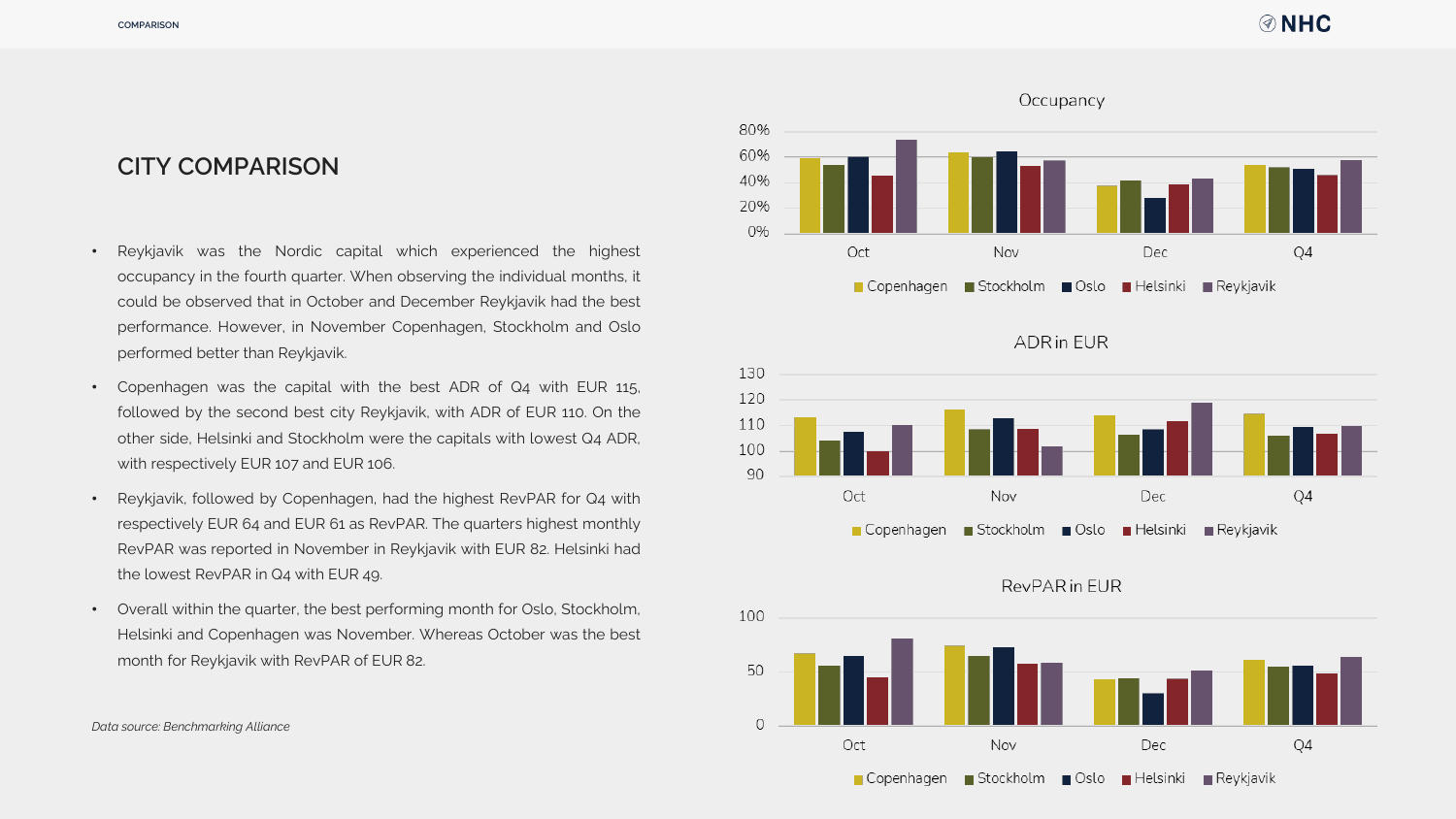# **CITY COMPARISON**

- Reykjavik was the Nordic capital which experienced the highest occupancy in the fourth quarter. When observing the individual months, it could be observed that in October and December Reykjavik had the best performance. However, in November Copenhagen, Stockholm and Oslo performed better than Reykjavik.
- Copenhagen was the capital with the best ADR of Q4 with EUR 115, followed by the second best city Reykjavik, with ADR of EUR 110. On the other side, Helsinki and Stockholm were the capitals with lowest Q4 ADR, with respectively EUR 107 and EUR 106.
- Reykjavik, followed by Copenhagen, had the highest RevPAR for Q4 with respectively EUR 64 and EUR 61 as RevPAR. The quarters highest monthly RevPAR was reported in November in Reykjavik with EUR 82. Helsinki had the lowest RevPAR in Q4 with EUR 49.
- Overall within the quarter, the best performing month for Oslo, Stockholm, Helsinki and Copenhagen was November. Whereas October was the best month for Reykjavik with RevPAR of EUR 82.



**ADR** in EUR



## RevPAR in EUR

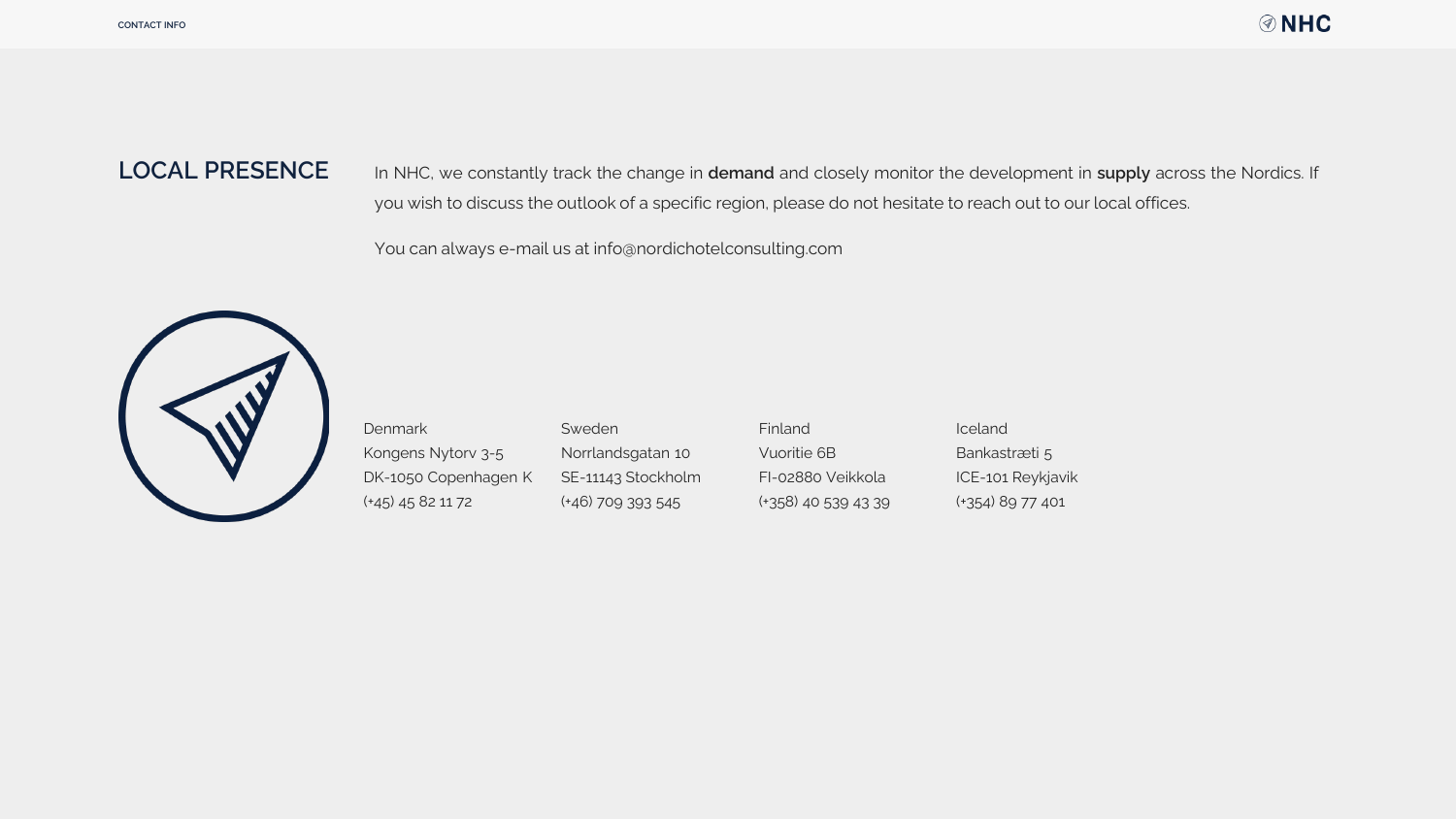# **LOCAL PRESENCE**

In NHC, we constantly track the change in **demand** and closely monitor the development in **supply** across the Nordics. If you wish to discuss the outlook of a specific region, please do not hesitate to reach out to our local offices.

You can always e-mail us at info@nordichotelconsulting.com



Denmark Kongens Nytorv 3-5 DK-1050 Copenhagen K (+45) 45 82 11 72 Sweden Norrlandsgatan 10 SE-11143 Stockholm (+46) 709 393 545 Finland Vuoritie 6B FI-02880 Veikkola (+358) 40 539 43 39 Iceland Bankastræti 5 ICE-101 Reykjavik (+354) 89 77 401